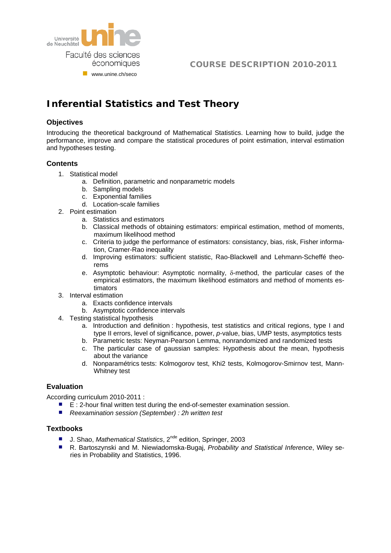

## COURSE DESCRIPTION 2010-2011

# **Inferential Statistics and Test Theory**

#### **Objectives**

Introducing the theoretical background of Mathematical Statistics. Learning how to build, judge the performance, improve and compare the statistical procedures of point estimation, interval estimation and hypotheses testing.

#### **Contents**

- 1. Statistical model
	- a. Definition, parametric and nonparametric models
	- b. Sampling models
	- c. Exponential families
	- d. Location-scale families
- 2. Point estimation
	- a. Statistics and estimators
	- b. Classical methods of obtaining estimators: empirical estimation, method of moments, maximum likelihood method
	- c. Criteria to judge the performance of estimators: consistancy, bias, risk, Fisher information, Cramer-Rao inequality
	- d. Improving estimators: sufficient statistic, Rao-Blackwell and Lehmann-Scheffé theorems
	- e. Asymptotic behaviour: Asymptotic normality,  $\delta$ -method, the particular cases of the empirical estimators, the maximum likelihood estimators and method of moments estimators
- 3. Interval estimation
	- a. Exacts confidence intervals
	- b. Asymptotic confidence intervals
- 4. Testing statistical hypothesis
	- a. Introduction and definition : hypothesis, test statistics and critical regions, type I and type II errors, level of significance, power, *p*-value, bias, UMP tests, asymptotics tests
	- b. Parametric tests: Neyman-Pearson Lemma, nonrandomized and randomized tests
	- c. The particular case of gaussian samples: Hypothesis about the mean, hypothesis about the variance
	- d. Nonparamétrics tests: Kolmogorov test, Khi2 tests, Kolmogorov-Smirnov test, Mann-Whitney test

#### **Evaluation**

According curriculum 2010-2011 :

- E : 2-hour final written test during the end-of-semester examination session.
- *Reexamination session (September) : 2h written test*

#### **Textbooks**

- J. Shao, *Mathematical Statistics*, 2<sup>nde</sup> edition, Springer, 2003
- R. Bartoszynski and M. Niewiadomska-Bugaj, *Probability and Statistical Inference*, Wiley series in Probability and Statistics, 1996.